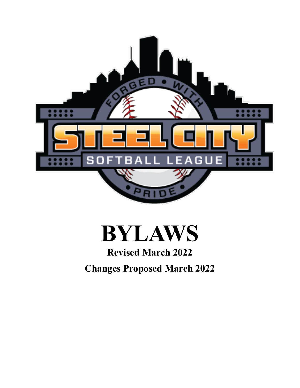

# **BYLAWS**

# **Revised March 2022**

**Changes Proposed March 2022**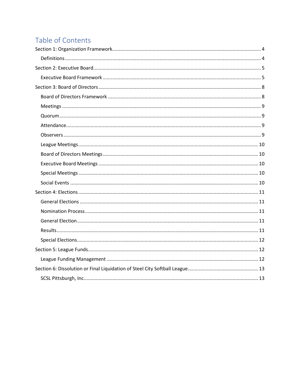## Table of Contents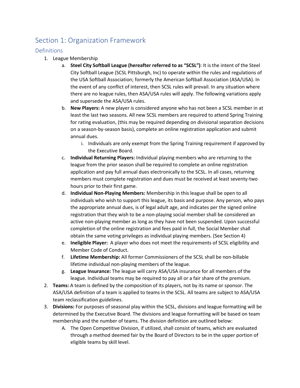## <span id="page-3-0"></span>Section 1: Organization Framework

#### <span id="page-3-1"></span>Definitions

- 1. League Membership
	- a. **Steel City Softball League (hereafter referred to as "SCSL")**: It is the intent of the Steel City Softball League (SCSL Pittsburgh, Inc) to operate within the rules and regulations of the USA Softball Association; formerly the American Softball Association (ASA/USA). In the event of any conflict of interest, then SCSL rules will prevail. In any situation where there are no league rules, then ASA/USA rules will apply. The following variations apply and supersede the ASA/USA rules.
	- b. **New Players:** A new player is considered anyone who has not been a SCSL member in at least the last two seasons. All new SCSL members are required to attend Spring Training for rating evaluation, (this may be required depending on divisional separation decisions on a season-by-season basis), complete an online registration application and submit annual dues.
		- i. Individuals are only exempt from the Spring Training requirement if approved by the Executive Board.
	- c. **Individual Returning Players:** Individual playing members who are returning to the league from the prior season shall be required to complete an online registration application and pay full annual dues electronically to the SCSL. In all cases, returning members must complete registration and dues must be received at least seventy-two hours prior to their first game.
	- d. **Individual Non-Playing Members:** Membership in this league shall be open to all individuals who wish to support this league, its basis and purpose. Any person, who pays the appropriate annual dues, is of legal adult age, and indicates per the signed online registration that they wish to be a non-playing social member shall be considered an active non-playing member as long as they have not been suspended. Upon successful completion of the online registration and fees paid in full, the Social Member shall obtain the same voting privileges as individual playing members. (See Section 4)
	- e. **Ineligible Player:** A player who does not meet the requirements of SCSL eligibility and Member Code of Conduct.
	- f. **Lifetime Membership:** All former Commissioners of the SCSL shall be non-billable lifetime individual non-playing members of the league.
	- g. **League Insurance:** The league will carry ASA/USA insurance for all members of the league. Individual teams may be required to pay all or a fair share of the premium.
- 2. **Teams:** A team is defined by the composition of its players, not by its name or sponsor. The ASA/USA definition of a team is applied to teams in the SCSL. All teams are subject to ASA/USA team reclassification guidelines.
- 3. **Divisions:** For purposes of seasonal play within the SCSL, divisions and league formatting will be determined by the Executive Board. The divisions and league formatting will be based on team membership and the number of teams. The division definition are outlined below:
	- A. The Open Competitive Division, if utilized, shall consist of teams, which are evaluated through a method deemed fair by the Board of Directors to be in the upper portion of eligible teams by skill level.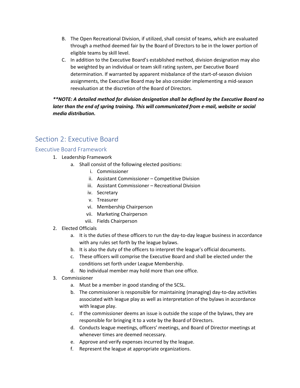- B. The Open Recreational Division, if utilized, shall consist of teams, which are evaluated through a method deemed fair by the Board of Directors to be in the lower portion of eligible teams by skill level.
- C. In addition to the Executive Board's established method, division designation may also be weighted by an individual or team skill rating system, per Executive Board determination. If warranted by apparent misbalance of the start-of-season division assignments, the Executive Board may be also consider implementing a mid-season reevaluation at the discretion of the Board of Directors.

*\*\*NOTE: A detailed method for division designation shall be defined by the Executive Board no*  later than the end of spring training. This will communicated from e-mail, website or social *media distribution.*

## <span id="page-4-0"></span>Section 2: Executive Board

#### <span id="page-4-1"></span>Executive Board Framework

- 1. Leadership Framework
	- a. Shall consist of the following elected positions:
		- i. Commissioner
		- ii. Assistant Commissioner Competitive Division
		- iii. Assistant Commissioner Recreational Division
		- iv. Secretary
		- v. Treasurer
		- vi. Membership Chairperson
		- vii. Marketing Chairperson
		- viii. Fields Chairperson
- 2. Elected Officials
	- a. It is the duties of these officers to run the day-to-day league business in accordance with any rules set forth by the league bylaws.
	- b. It is also the duty of the officers to interpret the league's official documents.
	- c. These officers will comprise the Executive Board and shall be elected under the conditions set forth under League Membership.
	- d. No individual member may hold more than one office.
- 3. Commissioner
	- a. Must be a member in good standing of the SCSL.
	- b. The commissioner is responsible for maintaining (managing) day-to-day activities associated with league play as well as interpretation of the bylaws in accordance with league play.
	- c. If the commissioner deems an issue is outside the scope of the bylaws, they are responsible for bringing it to a vote by the Board of Directors.
	- d. Conducts league meetings, officers' meetings, and Board of Director meetings at whenever times are deemed necessary.
	- e. Approve and verify expenses incurred by the league.
	- f. Represent the league at appropriate organizations.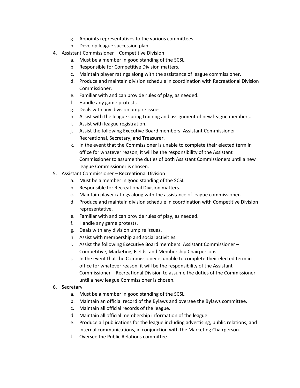- g. Appoints representatives to the various committees.
- h. Develop league succession plan.
- 4. Assistant Commissioner Competitive Division
	- a. Must be a member in good standing of the SCSL.
	- b. Responsible for Competitive Division matters.
	- c. Maintain player ratings along with the assistance of league commissioner.
	- d. Produce and maintain division schedule in coordination with Recreational Division Commissioner.
	- e. Familiar with and can provide rules of play, as needed.
	- f. Handle any game protests.
	- g. Deals with any division umpire issues.
	- h. Assist with the league spring training and assignment of new league members.
	- i. Assist with league registration.
	- j. Assist the following Executive Board members: Assistant Commissioner Recreational, Secretary, and Treasurer.
	- k. In the event that the Commissioner is unable to complete their elected term in office for whatever reason, it will be the responsibility of the Assistant Commissioner to assume the duties of both Assistant Commissioners until a new league Commissioner is chosen.
- 5. Assistant Commissioner Recreational Division
	- a. Must be a member in good standing of the SCSL.
	- b. Responsible for Recreational Division matters.
	- c. Maintain player ratings along with the assistance of league commissioner.
	- d. Produce and maintain division schedule in coordination with Competitive Division representative.
	- e. Familiar with and can provide rules of play, as needed.
	- f. Handle any game protests.
	- g. Deals with any division umpire issues.
	- h. Assist with membership and social activities.
	- i. Assist the following Executive Board members: Assistant Commissioner Competitive, Marketing, Fields, and Membership Chairpersons.
	- j. In the event that the Commissioner is unable to complete their elected term in office for whatever reason, it will be the responsibility of the Assistant Commissioner – Recreational Division to assume the duties of the Commissioner until a new league Commissioner is chosen.
- 6. Secretary
	- a. Must be a member in good standing of the SCSL.
	- b. Maintain an official record of the Bylaws and oversee the Bylaws committee.
	- c. Maintain all official records of the league.
	- d. Maintain all official membership information of the league.
	- e. Produce all publications for the league including advertising, public relations, and internal communications, in conjunction with the Marketing Chairperson.
	- f. Oversee the Public Relations committee.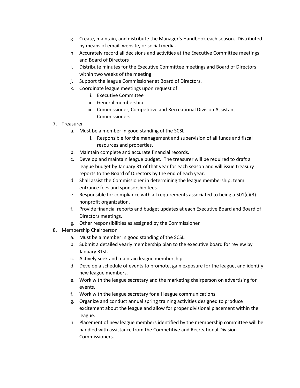- g. Create, maintain, and distribute the Manager's Handbook each season. Distributed by means of email, website, or social media.
- h. Accurately record all decisions and activities at the Executive Committee meetings and Board of Directors
- i. Distribute minutes for the Executive Committee meetings and Board of Directors within two weeks of the meeting.
- j. Support the league Commissioner at Board of Directors.
- k. Coordinate league meetings upon request of:
	- i. Executive Committee
	- ii. General membership
	- iii. Commissioner, Competitive and Recreational Division Assistant **Commissioners**
- 7. Treasurer
	- a. Must be a member in good standing of the SCSL.
		- i. Responsible for the management and supervision of all funds and fiscal resources and properties.
	- b. Maintain complete and accurate financial records.
	- c. Develop and maintain league budget. The treasurer will be required to draft a league budget by January 31 of that year for each season and will issue treasury reports to the Board of Directors by the end of each year.
	- d. Shall assist the Commissioner in determining the league membership, team entrance fees and sponsorship fees.
	- e. Responsible for compliance with all requirements associated to being a  $501(c)(3)$ nonprofit organization.
	- f. Provide financial reports and budget updates at each Executive Board and Board of Directors meetings.
	- g. Other responsibilities as assigned by the Commissioner
- 8. Membership Chairperson
	- a. Must be a member in good standing of the SCSL.
	- b. Submit a detailed yearly membership plan to the executive board for review by January 31st.
	- c. Actively seek and maintain league membership.
	- d. Develop a schedule of events to promote, gain exposure for the league, and identify new league members.
	- e. Work with the league secretary and the marketing chairperson on advertising for events.
	- f. Work with the league secretary for all league communications.
	- g. Organize and conduct annual spring training activities designed to produce excitement about the league and allow for proper divisional placement within the league.
	- h. Placement of new league members identified by the membership committee will be handled with assistance from the Competitive and Recreational Division Commissioners.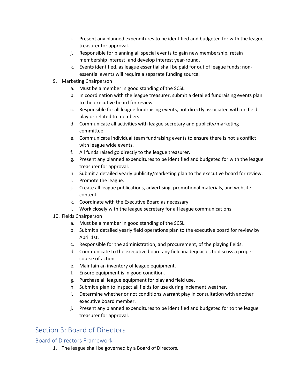- i. Present any planned expenditures to be identified and budgeted for with the league treasurer for approval.
- j. Responsible for planning all special events to gain new membership, retain membership interest, and develop interest year-round.
- k. Events identified, as league essential shall be paid for out of league funds; nonessential events will require a separate funding source.
- 9. Marketing Chairperson
	- a. Must be a member in good standing of the SCSL.
	- b. In coordination with the league treasurer, submit a detailed fundraising events plan to the executive board for review.
	- c. Responsible for all league fundraising events, not directly associated with on field play or related to members.
	- d. Communicate all activities with league secretary and publicity/marketing committee.
	- e. Communicate individual team fundraising events to ensure there is not a conflict with league wide events.
	- f. All funds raised go directly to the league treasurer.
	- g. Present any planned expenditures to be identified and budgeted for with the league treasurer for approval.
	- h. Submit a detailed yearly publicity/marketing plan to the executive board for review.
	- i. Promote the league.
	- j. Create all league publications, advertising, promotional materials, and website content.
	- k. Coordinate with the Executive Board as necessary.
	- l. Work closely with the league secretary for all league communications.
- 10. Fields Chairperson
	- a. Must be a member in good standing of the SCSL.
	- b. Submit a detailed yearly field operations plan to the executive board for review by April 1st.
	- c. Responsible for the administration, and procurement, of the playing fields.
	- d. Communicate to the executive board any field inadequacies to discuss a proper course of action.
	- e. Maintain an inventory of league equipment.
	- f. Ensure equipment is in good condition.
	- g. Purchase all league equipment for play and field use.
	- h. Submit a plan to inspect all fields for use during inclement weather.
	- i. Determine whether or not conditions warrant play in consultation with another executive board member.
	- j. Present any planned expenditures to be identified and budgeted for to the league treasurer for approval.

## <span id="page-7-0"></span>Section 3: Board of Directors

#### <span id="page-7-1"></span>Board of Directors Framework

1. The league shall be governed by a Board of Directors.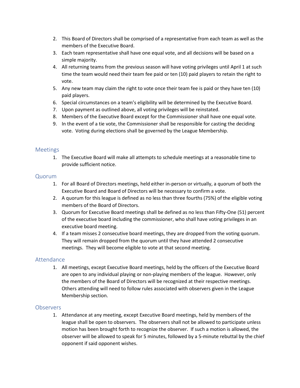- 2. This Board of Directors shall be comprised of a representative from each team as well as the members of the Executive Board.
- 3. Each team representative shall have one equal vote, and all decisions will be based on a simple majority.
- 4. All returning teams from the previous season will have voting privileges until April 1 at such time the team would need their team fee paid or ten (10) paid players to retain the right to vote.
- 5. Any new team may claim the right to vote once their team fee is paid or they have ten (10) paid players.
- 6. Special circumstances on a team's eligibility will be determined by the Executive Board.
- 7. Upon payment as outlined above, all voting privileges will be reinstated.
- 8. Members of the Executive Board except for the Commissioner shall have one equal vote.
- 9. In the event of a tie vote, the Commissioner shall be responsible for casting the deciding vote. Voting during elections shall be governed by the League Membership.

#### <span id="page-8-0"></span>Meetings

1. The Executive Board will make all attempts to schedule meetings at a reasonable time to provide sufficient notice.

#### <span id="page-8-1"></span>Quorum

- 1. For all Board of Directors meetings, held either in-person or virtually, a quorum of both the Executive Board and Board of Directors will be necessary to confirm a vote.
- 2. A quorum for this league is defined as no less than three fourths (75%) of the eligible voting members of the Board of Directors.
- 3. Quorum for Executive Board meetings shall be defined as no less than Fifty-One (51) percent of the executive board including the commissioner, who shall have voting privileges in an executive board meeting.
- 4. If a team misses 2 consecutive board meetings, they are dropped from the voting quorum. They will remain dropped from the quorum until they have attended 2 consecutive meetings. They will become eligible to vote at that second meeting.

#### <span id="page-8-2"></span>Attendance

1. All meetings, except Executive Board meetings, held by the officers of the Executive Board are open to any individual playing or non-playing members of the league. However, only the members of the Board of Directors will be recognized at their respective meetings. Others attending will need to follow rules associated with observers given in the League Membership section.

#### <span id="page-8-3"></span>**Observers**

1. Attendance at any meeting, except Executive Board meetings, held by members of the league shall be open to observers. The observers shall not be allowed to participate unless motion has been brought forth to recognize the observer. If such a motion is allowed, the observer will be allowed to speak for 5 minutes, followed by a 5-minute rebuttal by the chief opponent if said opponent wishes.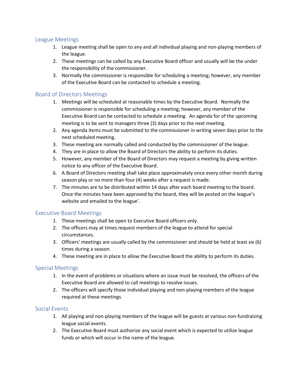#### <span id="page-9-0"></span>League Meetings

- 1. League meeting shall be open to any and all individual playing and non-playing members of the league.
- 2. These meetings can be called by any Executive Board officer and usually will be the under the responsibility of the commissioner.
- 3. Normally the commissioner is responsible for scheduling a meeting; however, any member of the Executive Board can be contacted to schedule a meeting.

#### <span id="page-9-1"></span>Board of Directors Meetings

- 1. Meetings will be scheduled at reasonable times by the Executive Board. Normally the commissioner is responsible for scheduling a meeting; however, any member of the Executive Board can be contacted to schedule a meeting. An agenda for of the upcoming meeting is to be sent to managers three (3) days prior to the next meeting.
- 2. Any agenda items must be submitted to the commissioner in writing seven days prior to the next scheduled meeting.
- 3. These meeting are normally called and conducted by the commissioner of the league.
- 4. They are in place to allow the Board of Directors the ability to perform its duties.
- 5. However, any member of the Board of Directors may request a meeting by giving written notice to any officer of the Executive Board.
- 6. A Board of Directors meeting shall take place approximately once every other month during season play or no more than four (4) weeks after a request is made.
- 7. The minutes are to be distributed within 14 days after each board meeting to the board. Once the minutes have been approved by the board, they will be posted on the league's website and emailed to the league'.

#### <span id="page-9-2"></span>Executive Board Meetings

- 1. These meetings shall be open to Executive Board officers only.
- 2. The officers may at times request members of the league to attend for special circumstances.
- 3. Officers' meetings are usually called by the commissioner and should be held at least six (6) times during a season.
- 4. These meeting are in place to allow the Executive Board the ability to perform its duties.

#### <span id="page-9-3"></span>Special Meetings

- 1. In the event of problems or situations where an issue must be resolved, the officers of the Executive Board are allowed to call meetings to resolve issues.
- 2. The officers will specify those individual playing and non-playing members of the league required at these meetings.

#### <span id="page-9-4"></span>Social Events

- 1. All playing and non-playing members of the league will be guests at various non-fundraising league social events.
- 2. The Executive Board must authorize any social event which is expected to utilize league funds or which will occur in the name of the league.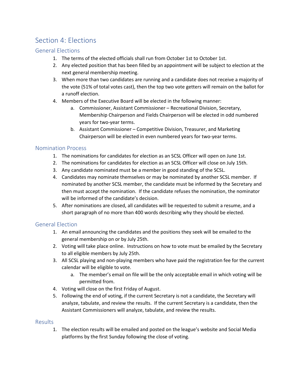## <span id="page-10-0"></span>Section 4: Elections

#### <span id="page-10-1"></span>General Elections

- 1. The terms of the elected officials shall run from October 1st to October 1st.
- 2. Any elected position that has been filled by an appointment will be subject to election at the next general membership meeting.
- 3. When more than two candidates are running and a candidate does not receive a majority of the vote (51% of total votes cast), then the top two vote getters will remain on the ballot for a runoff election.
- 4. Members of the Executive Board will be elected in the following manner:
	- a. Commissioner, Assistant Commissioner Recreational Division, Secretary, Membership Chairperson and Fields Chairperson will be elected in odd numbered years for two-year terms.
	- b. Assistant Commissioner Competitive Division, Treasurer, and Marketing Chairperson will be elected in even numbered years for two-year terms.

#### <span id="page-10-2"></span>Nomination Process

- 1. The nominations for candidates for election as an SCSL Officer will open on June 1st.
- 2. The nominations for candidates for election as an SCSL Officer will close on July 15th.
- 3. Any candidate nominated must be a member in good standing of the SCSL.
- 4. Candidates may nominate themselves or may be nominated by another SCSL member. If nominated by another SCSL member, the candidate must be informed by the Secretary and then must accept the nomination. If the candidate refuses the nomination, the nominator will be informed of the candidate's decision.
- 5. After nominations are closed, all candidates will be requested to submit a resume, and a short paragraph of no more than 400 words describing why they should be elected.

#### <span id="page-10-3"></span>General Election

- 1. An email announcing the candidates and the positions they seek will be emailed to the general membership on or by July 25th.
- 2. Voting will take place online. Instructions on how to vote must be emailed by the Secretary to all eligible members by July 25th.
- 3. All SCSL playing and non-playing members who have paid the registration fee for the current calendar will be eligible to vote.
	- a. The member's email on file will be the only acceptable email in which voting will be permitted from.
- 4. Voting will close on the first Friday of August.
- 5. Following the end of voting, if the current Secretary is not a candidate, the Secretary will analyze, tabulate, and review the results. If the current Secretary is a candidate, then the Assistant Commissioners will analyze, tabulate, and review the results.

#### <span id="page-10-4"></span>Results

1. The election results will be emailed and posted on the league's website and Social Media platforms by the first Sunday following the close of voting.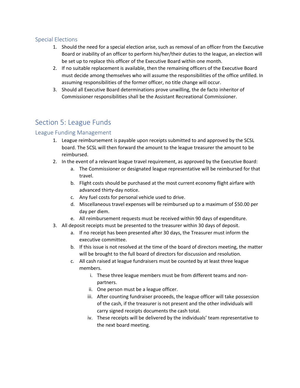#### <span id="page-11-0"></span>Special Elections

- 1. Should the need for a special election arise, such as removal of an officer from the Executive Board or inability of an officer to perform his/her/their duties to the league, an election will be set up to replace this officer of the Executive Board within one month.
- 2. If no suitable replacement is available, then the remaining officers of the Executive Board must decide among themselves who will assume the responsibilities of the office unfilled. In assuming responsibilities of the former officer, no title change will occur.
- 3. Should all Executive Board determinations prove unwilling, the de facto inheritor of Commissioner responsibilities shall be the Assistant Recreational Commissioner.

## <span id="page-11-1"></span>Section 5: League Funds

#### <span id="page-11-2"></span>League Funding Management

- 1. League reimbursement is payable upon receipts submitted to and approved by the SCSL board. The SCSL will then forward the amount to the league treasurer the amount to be reimbursed.
- 2. In the event of a relevant league travel requirement, as approved by the Executive Board:
	- a. The Commissioner or designated league representative will be reimbursed for that travel.
	- b. Flight costs should be purchased at the most current economy flight airfare with advanced thirty-day notice.
	- c. Any fuel costs for personal vehicle used to drive.
	- d. Miscellaneous travel expenses will be reimbursed up to a maximum of \$50.00 per day per diem.
	- e. All reimbursement requests must be received within 90 days of expenditure.
- 3. All deposit receipts must be presented to the treasurer within 30 days of deposit.
	- a. If no receipt has been presented after 30 days, the Treasurer must inform the executive committee.
	- b. If this issue is not resolved at the time of the board of directors meeting, the matter will be brought to the full board of directors for discussion and resolution.
	- c. All cash raised at league fundraisers must be counted by at least three league members.
		- i. These three league members must be from different teams and nonpartners.
		- ii. One person must be a league officer.
		- iii. After counting fundraiser proceeds, the league officer will take possession of the cash, if the treasurer is not present and the other individuals will carry signed receipts documents the cash total.
		- iv. These receipts will be delivered by the individuals' team representative to the next board meeting.